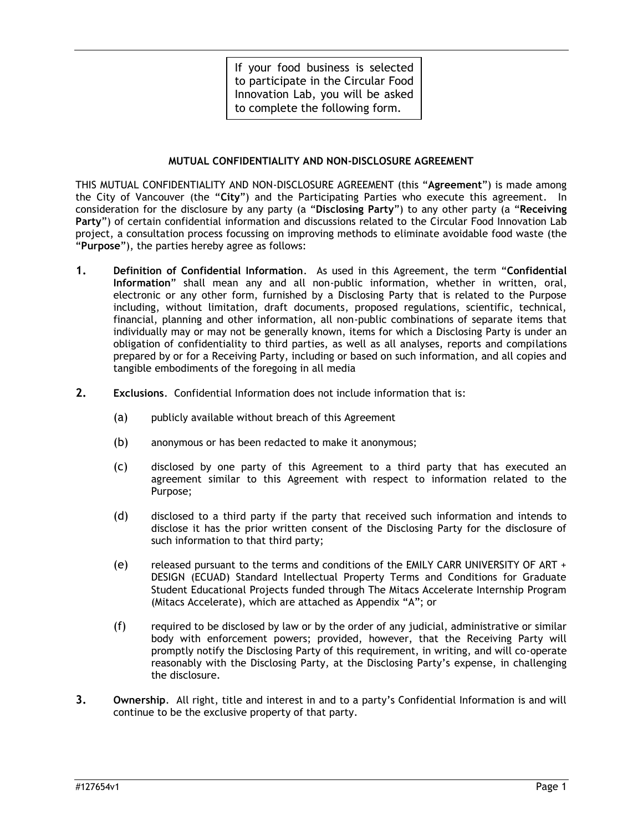If your food business is selected to participate in the Circular Food Innovation Lab, you will be asked to complete the following form.

#### **MUTUAL CONFIDENTIALITY AND NON-DISCLOSURE AGREEMENT**

THIS MUTUAL CONFIDENTIALITY AND NON-DISCLOSURE AGREEMENT (this "**Agreement**") is made among the City of Vancouver (the "**City**") and the Participating Parties who execute this agreement. In consideration for the disclosure by any party (a "**Disclosing Party**") to any other party (a "**Receiving Party**") of certain confidential information and discussions related to the Circular Food Innovation Lab project, a consultation process focussing on improving methods to eliminate avoidable food waste (the "**Purpose**"), the parties hereby agree as follows:

- **1. Definition of Confidential Information**. As used in this Agreement, the term "**Confidential Information**" shall mean any and all non-public information, whether in written, oral, electronic or any other form, furnished by a Disclosing Party that is related to the Purpose including, without limitation, draft documents, proposed regulations, scientific, technical, financial, planning and other information, all non-public combinations of separate items that individually may or may not be generally known, items for which a Disclosing Party is under an obligation of confidentiality to third parties, as well as all analyses, reports and compilations prepared by or for a Receiving Party, including or based on such information, and all copies and tangible embodiments of the foregoing in all media
- **2. Exclusions**. Confidential Information does not include information that is:
	- (a) publicly available without breach of this Agreement
	- (b) anonymous or has been redacted to make it anonymous;
	- (c) disclosed by one party of this Agreement to a third party that has executed an agreement similar to this Agreement with respect to information related to the Purpose;
	- (d) disclosed to a third party if the party that received such information and intends to disclose it has the prior written consent of the Disclosing Party for the disclosure of such information to that third party;
	- (e) released pursuant to the terms and conditions of the EMILY CARR UNIVERSITY OF ART + DESIGN (ECUAD) Standard Intellectual Property Terms and Conditions for Graduate Student Educational Projects funded through The Mitacs Accelerate Internship Program (Mitacs Accelerate), which are attached as Appendix "A"; or
	- (f) required to be disclosed by law or by the order of any judicial, administrative or similar body with enforcement powers; provided, however, that the Receiving Party will promptly notify the Disclosing Party of this requirement, in writing, and will co-operate reasonably with the Disclosing Party, at the Disclosing Party's expense, in challenging the disclosure.
- **3. Ownership**. All right, title and interest in and to a party's Confidential Information is and will continue to be the exclusive property of that party.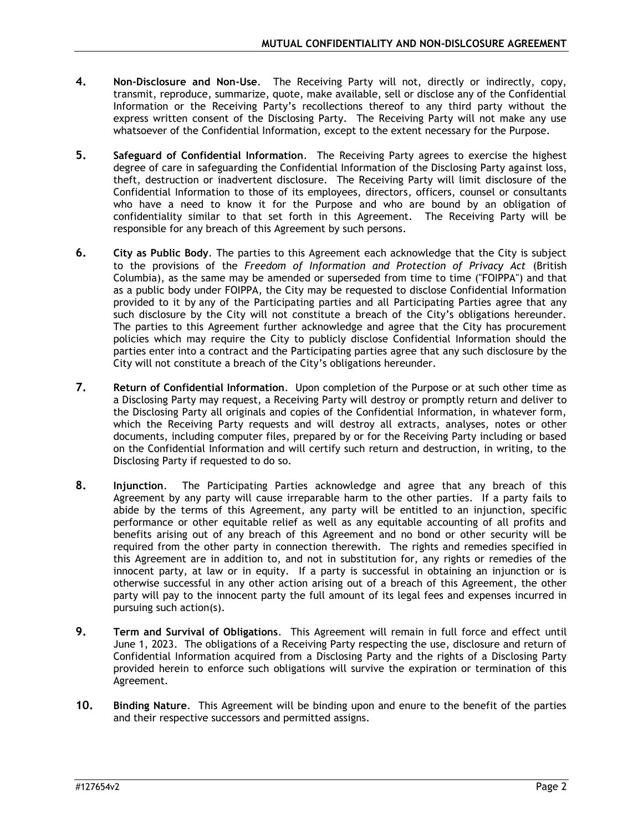- **4. Non-Disclosure and Non-Use**. The Receiving Party will not, directly or indirectly, copy, transmit, reproduce, summarize, quote, make available, sell or disclose any of the Confidential Information or the Receiving Party's recollections thereof to any third party without the express written consent of the Disclosing Party. The Receiving Party will not make any use whatsoever of the Confidential Information, except to the extent necessary for the Purpose.
- **5. Safeguard of Confidential Information**. The Receiving Party agrees to exercise the highest degree of care in safeguarding the Confidential Information of the Disclosing Party against loss, theft, destruction or inadvertent disclosure. The Receiving Party will limit disclosure of the Confidential Information to those of its employees, directors, officers, counsel or consultants who have a need to know it for the Purpose and who are bound by an obligation of confidentiality similar to that set forth in this Agreement. The Receiving Party will be responsible for any breach of this Agreement by such persons.
- **6. City as Public Body**. The parties to this Agreement each acknowledge that the City is subject to the provisions of the *Freedom of Information and Protection of Privacy Act* (British Columbia), as the same may be amended or superseded from time to time ("FOIPPA") and that as a public body under FOIPPA, the City may be requested to disclose Confidential Information provided to it by any of the Participating parties and all Participating Parties agree that any such disclosure by the City will not constitute a breach of the City's obligations hereunder. The parties to this Agreement further acknowledge and agree that the City has procurement policies which may require the City to publicly disclose Confidential Information should the parties enter into a contract and the Participating parties agree that any such disclosure by the City will not constitute a breach of the City's obligations hereunder.
- **7. Return of Confidential Information**. Upon completion of the Purpose or at such other time as a Disclosing Party may request, a Receiving Party will destroy or promptly return and deliver to the Disclosing Party all originals and copies of the Confidential Information, in whatever form, which the Receiving Party requests and will destroy all extracts, analyses, notes or other documents, including computer files, prepared by or for the Receiving Party including or based on the Confidential Information and will certify such return and destruction, in writing, to the Disclosing Party if requested to do so.
- **8. Injunction**. The Participating Parties acknowledge and agree that any breach of this Agreement by any party will cause irreparable harm to the other parties. If a party fails to abide by the terms of this Agreement, any party will be entitled to an injunction, specific performance or other equitable relief as well as any equitable accounting of all profits and benefits arising out of any breach of this Agreement and no bond or other security will be required from the other party in connection therewith. The rights and remedies specified in this Agreement are in addition to, and not in substitution for, any rights or remedies of the innocent party, at law or in equity. If a party is successful in obtaining an injunction or is otherwise successful in any other action arising out of a breach of this Agreement, the other party will pay to the innocent party the full amount of its legal fees and expenses incurred in pursuing such action(s).
- **9. Term and Survival of Obligations**. This Agreement will remain in full force and effect until June 1, 2023. The obligations of a Receiving Party respecting the use, disclosure and return of Confidential Information acquired from a Disclosing Party and the rights of a Disclosing Party provided herein to enforce such obligations will survive the expiration or termination of this Agreement.
- **10. Binding Nature**. This Agreement will be binding upon and enure to the benefit of the parties and their respective successors and permitted assigns.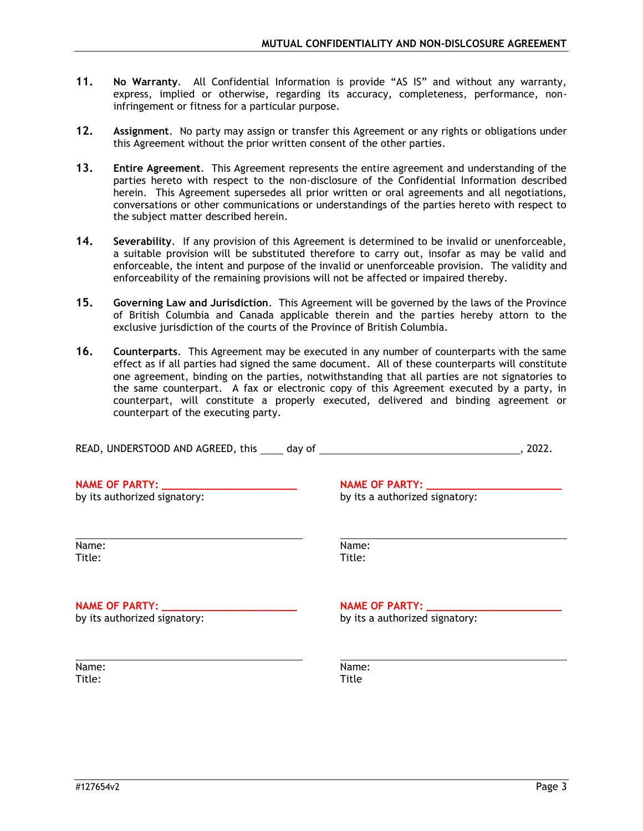- **11. No Warranty**. All Confidential Information is provide "AS IS" and without any warranty, express, implied or otherwise, regarding its accuracy, completeness, performance, noninfringement or fitness for a particular purpose.
- **12. Assignment**. No party may assign or transfer this Agreement or any rights or obligations under this Agreement without the prior written consent of the other parties.
- **13. Entire Agreement**. This Agreement represents the entire agreement and understanding of the parties hereto with respect to the non-disclosure of the Confidential Information described herein. This Agreement supersedes all prior written or oral agreements and all negotiations, conversations or other communications or understandings of the parties hereto with respect to the subject matter described herein.
- **14. Severability**. If any provision of this Agreement is determined to be invalid or unenforceable, a suitable provision will be substituted therefore to carry out, insofar as may be valid and enforceable, the intent and purpose of the invalid or unenforceable provision. The validity and enforceability of the remaining provisions will not be affected or impaired thereby.
- **15. Governing Law and Jurisdiction**. This Agreement will be governed by the laws of the Province of British Columbia and Canada applicable therein and the parties hereby attorn to the exclusive jurisdiction of the courts of the Province of British Columbia.
- **16. Counterparts**. This Agreement may be executed in any number of counterparts with the same effect as if all parties had signed the same document. All of these counterparts will constitute one agreement, binding on the parties, notwithstanding that all parties are not signatories to the same counterpart. A fax or electronic copy of this Agreement executed by a party, in counterpart, will constitute a properly executed, delivered and binding agreement or counterpart of the executing party.

| . 2022.                                                    |                                                                                  |
|------------------------------------------------------------|----------------------------------------------------------------------------------|
| NAME OF PARTY: _________<br>by its a authorized signatory: |                                                                                  |
| Name:<br>Title:                                            |                                                                                  |
| NAME OF PARTY: _________<br>by its a authorized signatory: |                                                                                  |
| Name:<br>Title                                             |                                                                                  |
|                                                            | READ, UNDERSTOOD AND AGREED, this _____ day of _________________________________ |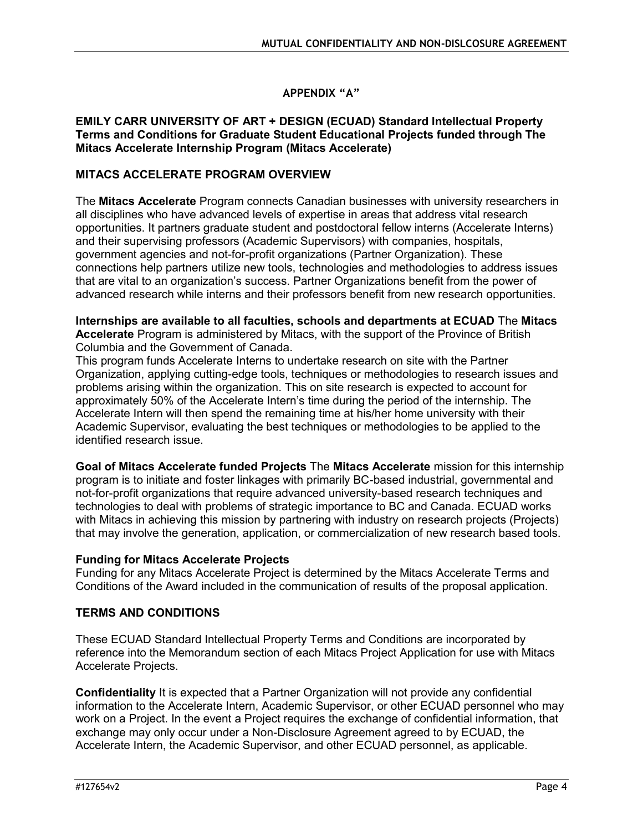# **APPENDIX "A"**

### **EMILY CARR UNIVERSITY OF ART + DESIGN (ECUAD) Standard Intellectual Property Terms and Conditions for Graduate Student Educational Projects funded through The Mitacs Accelerate Internship Program (Mitacs Accelerate)**

## **MITACS ACCELERATE PROGRAM OVERVIEW**

The **Mitacs Accelerate** Program connects Canadian businesses with university researchers in all disciplines who have advanced levels of expertise in areas that address vital research opportunities. It partners graduate student and postdoctoral fellow interns (Accelerate Interns) and their supervising professors (Academic Supervisors) with companies, hospitals, government agencies and not-for-profit organizations (Partner Organization). These connections help partners utilize new tools, technologies and methodologies to address issues that are vital to an organization's success. Partner Organizations benefit from the power of advanced research while interns and their professors benefit from new research opportunities.

### **Internships are available to all faculties, schools and departments at ECUAD** The **Mitacs Accelerate** Program is administered by Mitacs, with the support of the Province of British Columbia and the Government of Canada.

This program funds Accelerate Interns to undertake research on site with the Partner Organization, applying cutting-edge tools, techniques or methodologies to research issues and problems arising within the organization. This on site research is expected to account for approximately 50% of the Accelerate Intern's time during the period of the internship. The Accelerate Intern will then spend the remaining time at his/her home university with their Academic Supervisor, evaluating the best techniques or methodologies to be applied to the identified research issue.

**Goal of Mitacs Accelerate funded Projects** The **Mitacs Accelerate** mission for this internship program is to initiate and foster linkages with primarily BC-based industrial, governmental and not-for-profit organizations that require advanced university-based research techniques and technologies to deal with problems of strategic importance to BC and Canada. ECUAD works with Mitacs in achieving this mission by partnering with industry on research projects (Projects) that may involve the generation, application, or commercialization of new research based tools.

## **Funding for Mitacs Accelerate Projects**

Funding for any Mitacs Accelerate Project is determined by the Mitacs Accelerate Terms and Conditions of the Award included in the communication of results of the proposal application.

# **TERMS AND CONDITIONS**

These ECUAD Standard Intellectual Property Terms and Conditions are incorporated by reference into the Memorandum section of each Mitacs Project Application for use with Mitacs Accelerate Projects.

**Confidentiality** It is expected that a Partner Organization will not provide any confidential information to the Accelerate Intern, Academic Supervisor, or other ECUAD personnel who may work on a Project. In the event a Project requires the exchange of confidential information, that exchange may only occur under a Non-Disclosure Agreement agreed to by ECUAD, the Accelerate Intern, the Academic Supervisor, and other ECUAD personnel, as applicable.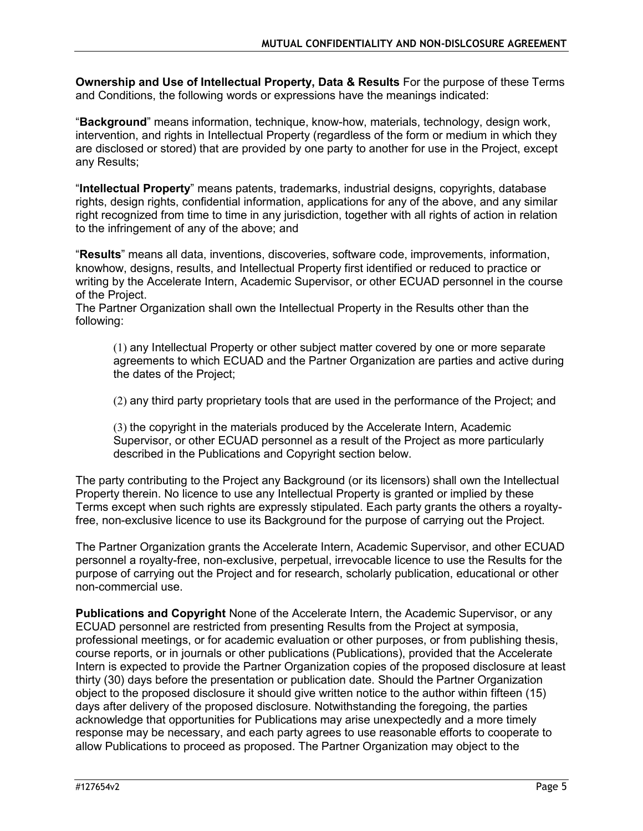**Ownership and Use of Intellectual Property, Data & Results** For the purpose of these Terms and Conditions, the following words or expressions have the meanings indicated:

"**Background**" means information, technique, know-how, materials, technology, design work, intervention, and rights in Intellectual Property (regardless of the form or medium in which they are disclosed or stored) that are provided by one party to another for use in the Project, except any Results;

"**Intellectual Property**" means patents, trademarks, industrial designs, copyrights, database rights, design rights, confidential information, applications for any of the above, and any similar right recognized from time to time in any jurisdiction, together with all rights of action in relation to the infringement of any of the above; and

"**Results**" means all data, inventions, discoveries, software code, improvements, information, knowhow, designs, results, and Intellectual Property first identified or reduced to practice or writing by the Accelerate Intern, Academic Supervisor, or other ECUAD personnel in the course of the Project.

The Partner Organization shall own the Intellectual Property in the Results other than the following:

(1) any Intellectual Property or other subject matter covered by one or more separate agreements to which ECUAD and the Partner Organization are parties and active during the dates of the Project;

(2) any third party proprietary tools that are used in the performance of the Project; and

(3) the copyright in the materials produced by the Accelerate Intern, Academic Supervisor, or other ECUAD personnel as a result of the Project as more particularly described in the Publications and Copyright section below.

The party contributing to the Project any Background (or its licensors) shall own the Intellectual Property therein. No licence to use any Intellectual Property is granted or implied by these Terms except when such rights are expressly stipulated. Each party grants the others a royaltyfree, non-exclusive licence to use its Background for the purpose of carrying out the Project.

The Partner Organization grants the Accelerate Intern, Academic Supervisor, and other ECUAD personnel a royalty-free, non-exclusive, perpetual, irrevocable licence to use the Results for the purpose of carrying out the Project and for research, scholarly publication, educational or other non-commercial use.

**Publications and Copyright** None of the Accelerate Intern, the Academic Supervisor, or any ECUAD personnel are restricted from presenting Results from the Project at symposia, professional meetings, or for academic evaluation or other purposes, or from publishing thesis, course reports, or in journals or other publications (Publications), provided that the Accelerate Intern is expected to provide the Partner Organization copies of the proposed disclosure at least thirty (30) days before the presentation or publication date. Should the Partner Organization object to the proposed disclosure it should give written notice to the author within fifteen (15) days after delivery of the proposed disclosure. Notwithstanding the foregoing, the parties acknowledge that opportunities for Publications may arise unexpectedly and a more timely response may be necessary, and each party agrees to use reasonable efforts to cooperate to allow Publications to proceed as proposed. The Partner Organization may object to the